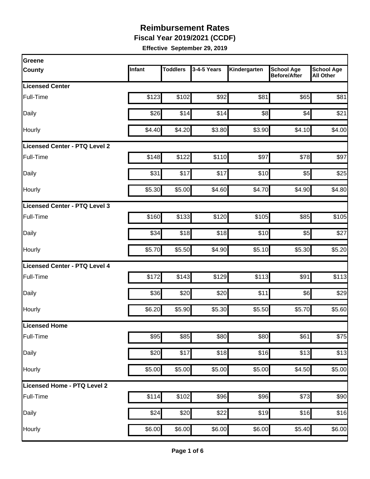**Fiscal Year 2019/2021 (CCDF)**

| Greene                        |        |                 |             |              |                                          |                                       |
|-------------------------------|--------|-----------------|-------------|--------------|------------------------------------------|---------------------------------------|
| <b>County</b>                 | Infant | <b>Toddlers</b> | 3-4-5 Years | Kindergarten | <b>School Age</b><br><b>Before/After</b> | <b>School Age</b><br><b>All Other</b> |
| <b>Licensed Center</b>        |        |                 |             |              |                                          |                                       |
| Full-Time                     | \$123  | \$102           | \$92        | \$81         | \$65                                     | \$81                                  |
| Daily                         | \$26   | \$14            | \$14        | \$8          | \$4                                      | \$21                                  |
| Hourly                        | \$4.40 | \$4.20          | \$3.80      | \$3.90       | \$4.10                                   | \$4.00                                |
| Licensed Center - PTQ Level 2 |        |                 |             |              |                                          |                                       |
| Full-Time                     | \$148  | \$122           | \$110       | \$97         | \$78                                     | \$97                                  |
| Daily                         | \$31   | \$17            | \$17        | \$10         | \$5                                      | \$25                                  |
| Hourly                        | \$5.30 | \$5.00          | \$4.60      | \$4.70       | \$4.90                                   | \$4.80                                |
| Licensed Center - PTQ Level 3 |        |                 |             |              |                                          |                                       |
| Full-Time                     | \$160  | \$133           | \$120       | \$105        | \$85                                     | \$105                                 |
| Daily                         | \$34   | \$18            | \$18        | \$10         | \$5                                      | \$27                                  |
| Hourly                        | \$5.70 | \$5.50          | \$4.90      | \$5.10       | \$5.30                                   | \$5.20                                |
| Licensed Center - PTQ Level 4 |        |                 |             |              |                                          |                                       |
| Full-Time                     | \$172  | \$143           | \$129       | \$113        | \$91                                     | \$113                                 |
| Daily                         | \$36   | \$20            | \$20        | \$11         | \$6]                                     | \$29                                  |
| Hourly                        | \$6.20 | \$5.90          | \$5.30      | \$5.50       | \$5.70                                   | \$5.60                                |
| Licensed Home                 |        |                 |             |              |                                          |                                       |
| Full-Time                     | \$95   | \$85            | \$80        | \$80         | \$61                                     | \$75                                  |
| Daily                         | \$20   | \$17            | \$18        | \$16         | \$13                                     | \$13                                  |
| Hourly                        | \$5.00 | \$5.00          | \$5.00      | \$5.00       | \$4.50                                   | \$5.00                                |
| Licensed Home - PTQ Level 2   |        |                 |             |              |                                          |                                       |
| Full-Time                     | \$114  | \$102           | \$96        | \$96         | \$73                                     | \$90                                  |
| Daily                         | \$24   | \$20            | \$22]       | \$19         | \$16                                     | \$16                                  |
| Hourly                        | \$6.00 | \$6.00          | \$6.00      | \$6.00       | \$5.40                                   | \$6.00                                |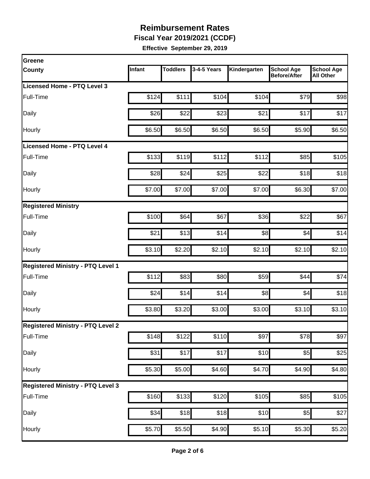**Fiscal Year 2019/2021 (CCDF)**

| Greene                                   |        |                 |             |                    |                                          |                                       |
|------------------------------------------|--------|-----------------|-------------|--------------------|------------------------------------------|---------------------------------------|
| <b>County</b>                            | Infant | <b>Toddlers</b> | 3-4-5 Years | Kindergarten       | <b>School Age</b><br><b>Before/After</b> | <b>School Age</b><br><b>All Other</b> |
| Licensed Home - PTQ Level 3              |        |                 |             |                    |                                          |                                       |
| Full-Time                                | \$124  | \$111           | \$104       | \$104              | \$79                                     | \$98                                  |
| Daily                                    | \$26   | \$22            | \$23        | \$21               | \$17                                     | \$17                                  |
| Hourly                                   | \$6.50 | \$6.50          | \$6.50      | \$6.50             | \$5.90                                   | \$6.50                                |
| Licensed Home - PTQ Level 4              |        |                 |             |                    |                                          |                                       |
| Full-Time                                | \$133  | \$119           | \$112       | \$112              | \$85                                     | \$105                                 |
| Daily                                    | \$28   | \$24            | \$25        | \$22               | \$18                                     | \$18                                  |
| Hourly                                   | \$7.00 | \$7.00          | \$7.00      | \$7.00             | \$6.30                                   | \$7.00                                |
| <b>Registered Ministry</b>               |        |                 |             |                    |                                          |                                       |
| Full-Time                                | \$100  | \$64            | \$67        | \$36               | \$22                                     | \$67                                  |
| Daily                                    | \$21   | \$13            | \$14        | \$8                | \$4                                      | \$14                                  |
| Hourly                                   | \$3.10 | \$2.20          | \$2.10      | \$2.10             | \$2.10                                   | \$2.10                                |
| <b>Registered Ministry - PTQ Level 1</b> |        |                 |             |                    |                                          |                                       |
| Full-Time                                | \$112  | \$83            | \$80        | \$59               | \$44                                     | \$74                                  |
| Daily                                    | \$24   | \$14            | \$14        | \$8                | \$4                                      | \$18                                  |
| Hourly                                   | \$3.80 | \$3.20          | \$3.00      | \$3.00             | \$3.10                                   | \$3.10                                |
| <b>Registered Ministry - PTQ Level 2</b> |        |                 |             |                    |                                          |                                       |
| Full-Time                                | \$148  | \$122           | \$110       | \$97               | \$78                                     | \$97                                  |
| Daily                                    | \$31   | \$17            | \$17        | \$10               | \$5                                      | \$25                                  |
| Hourly                                   | \$5.30 | \$5.00          | \$4.60      | \$4.70             | \$4.90                                   | \$4.80                                |
| <b>Registered Ministry - PTQ Level 3</b> |        |                 |             |                    |                                          |                                       |
| Full-Time                                | \$160  | \$133           | \$120       | \$105              | $\overline{$85}$                         | $\overline{$}105$                     |
| Daily                                    | \$34   | \$18            | \$18        | \$10               | \$5                                      | \$27                                  |
| Hourly                                   | \$5.70 | \$5.50          | \$4.90      | $\overline{$5.10}$ | \$5.30                                   | \$5.20                                |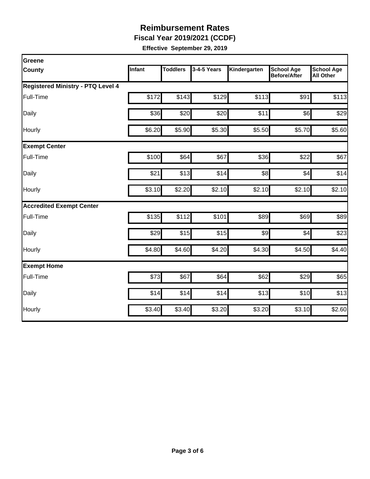**Fiscal Year 2019/2021 (CCDF)**

| Greene                                   |        |                 |             |              |                                          |                                       |
|------------------------------------------|--------|-----------------|-------------|--------------|------------------------------------------|---------------------------------------|
| <b>County</b>                            | Infant | <b>Toddlers</b> | 3-4-5 Years | Kindergarten | <b>School Age</b><br><b>Before/After</b> | <b>School Age</b><br><b>All Other</b> |
| <b>Registered Ministry - PTQ Level 4</b> |        |                 |             |              |                                          |                                       |
| Full-Time                                | \$172  | \$143           | \$129       | \$113        | \$91                                     | \$113                                 |
| Daily                                    | \$36   | \$20            | \$20        | \$11         | \$6]                                     | \$29                                  |
| Hourly                                   | \$6.20 | \$5.90          | \$5.30      | \$5.50       | \$5.70                                   | \$5.60                                |
| <b>Exempt Center</b>                     |        |                 |             |              |                                          |                                       |
| Full-Time                                | \$100  | \$64            | \$67        | \$36         | \$22                                     | \$67                                  |
| Daily                                    | \$21   | \$13            | \$14        | \$8          | \$4                                      | \$14                                  |
| Hourly                                   | \$3.10 | \$2.20          | \$2.10      | \$2.10       | \$2.10                                   | \$2.10                                |
| <b>Accredited Exempt Center</b>          |        |                 |             |              |                                          |                                       |
| Full-Time                                | \$135  | \$112           | \$101       | \$89         | \$69                                     | \$89                                  |
| Daily                                    | \$29   | \$15            | \$15        | \$9          | \$4                                      | \$23                                  |
| Hourly                                   | \$4.80 | \$4.60          | \$4.20      | \$4.30       | \$4.50                                   | \$4.40                                |
| <b>Exempt Home</b>                       |        |                 |             |              |                                          |                                       |
| Full-Time                                | \$73   | \$67            | \$64        | \$62         | \$29                                     | \$65                                  |
| Daily                                    | \$14   | \$14            | \$14        | \$13         | \$10                                     | \$13                                  |
| Hourly                                   | \$3.40 | \$3.40          | \$3.20      | \$3.20       | \$3.10                                   | \$2.60                                |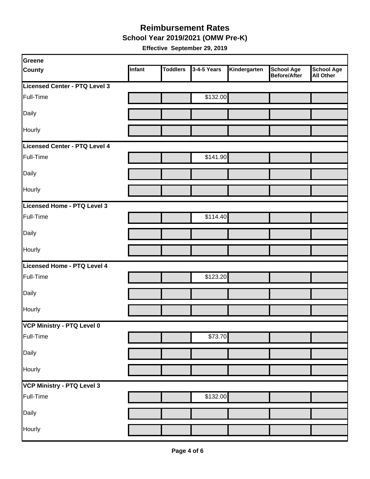**School Year 2019/2021 (OMW Pre-K)**

| Greene                        |        |                 |             |              |                                   |                                       |
|-------------------------------|--------|-----------------|-------------|--------------|-----------------------------------|---------------------------------------|
| <b>County</b>                 | Infant | <b>Toddlers</b> | 3-4-5 Years | Kindergarten | <b>School Age</b><br>Before/After | <b>School Age</b><br><b>All Other</b> |
| Licensed Center - PTQ Level 3 |        |                 |             |              |                                   |                                       |
| Full-Time                     |        |                 | \$132.00    |              |                                   |                                       |
| Daily                         |        |                 |             |              |                                   |                                       |
| Hourly                        |        |                 |             |              |                                   |                                       |
| Licensed Center - PTQ Level 4 |        |                 |             |              |                                   |                                       |
| Full-Time                     |        |                 | \$141.90    |              |                                   |                                       |
| Daily                         |        |                 |             |              |                                   |                                       |
| Hourly                        |        |                 |             |              |                                   |                                       |
| Licensed Home - PTQ Level 3   |        |                 |             |              |                                   |                                       |
| Full-Time                     |        |                 | \$114.40    |              |                                   |                                       |
| Daily                         |        |                 |             |              |                                   |                                       |
| Hourly                        |        |                 |             |              |                                   |                                       |
| Licensed Home - PTQ Level 4   |        |                 |             |              |                                   |                                       |
| Full-Time                     |        |                 | \$123.20    |              |                                   |                                       |
| Daily                         |        |                 |             |              |                                   |                                       |
| Hourly                        |        |                 |             |              |                                   |                                       |
| VCP Ministry - PTQ Level 0    |        |                 |             |              |                                   |                                       |
| Full-Time                     |        |                 | \$73.70     |              |                                   |                                       |
| Daily                         |        |                 |             |              |                                   |                                       |
| Hourly                        |        |                 |             |              |                                   |                                       |
| VCP Ministry - PTQ Level 3    |        |                 |             |              |                                   |                                       |
| Full-Time                     |        |                 | \$132.00    |              |                                   |                                       |
| Daily                         |        |                 |             |              |                                   |                                       |
| Hourly                        |        |                 |             |              |                                   |                                       |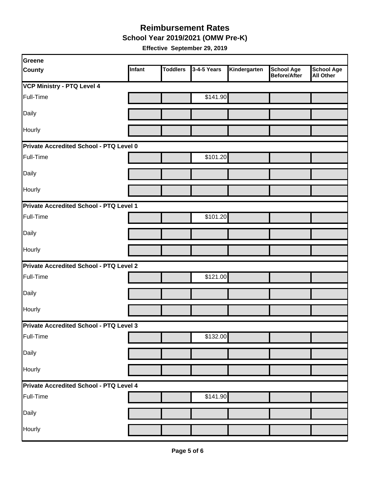**School Year 2019/2021 (OMW Pre-K)**

| Greene                                  |        |                 |             |              |                                          |                                       |  |  |
|-----------------------------------------|--------|-----------------|-------------|--------------|------------------------------------------|---------------------------------------|--|--|
| <b>County</b>                           | Infant | <b>Toddlers</b> | 3-4-5 Years | Kindergarten | <b>School Age</b><br><b>Before/After</b> | <b>School Age</b><br><b>All Other</b> |  |  |
| <b>VCP Ministry - PTQ Level 4</b>       |        |                 |             |              |                                          |                                       |  |  |
| Full-Time                               |        |                 | \$141.90    |              |                                          |                                       |  |  |
| Daily                                   |        |                 |             |              |                                          |                                       |  |  |
| Hourly                                  |        |                 |             |              |                                          |                                       |  |  |
| Private Accredited School - PTQ Level 0 |        |                 |             |              |                                          |                                       |  |  |
| Full-Time                               |        |                 | \$101.20    |              |                                          |                                       |  |  |
| Daily                                   |        |                 |             |              |                                          |                                       |  |  |
| Hourly                                  |        |                 |             |              |                                          |                                       |  |  |
| Private Accredited School - PTQ Level 1 |        |                 |             |              |                                          |                                       |  |  |
| Full-Time                               |        |                 | \$101.20    |              |                                          |                                       |  |  |
| Daily                                   |        |                 |             |              |                                          |                                       |  |  |
| <b>Hourly</b>                           |        |                 |             |              |                                          |                                       |  |  |
| Private Accredited School - PTQ Level 2 |        |                 |             |              |                                          |                                       |  |  |
| Full-Time                               |        |                 | \$121.00    |              |                                          |                                       |  |  |
| Daily                                   |        |                 |             |              |                                          |                                       |  |  |
| Hourly                                  |        |                 |             |              |                                          |                                       |  |  |
| Private Accredited School - PTQ Level 3 |        |                 |             |              |                                          |                                       |  |  |
| Full-Time                               |        |                 | \$132.00    |              |                                          |                                       |  |  |
| Daily                                   |        |                 |             |              |                                          |                                       |  |  |
| Hourly                                  |        |                 |             |              |                                          |                                       |  |  |
| Private Accredited School - PTQ Level 4 |        |                 |             |              |                                          |                                       |  |  |
| Full-Time                               |        |                 | \$141.90    |              |                                          |                                       |  |  |
| Daily                                   |        |                 |             |              |                                          |                                       |  |  |
| Hourly                                  |        |                 |             |              |                                          |                                       |  |  |